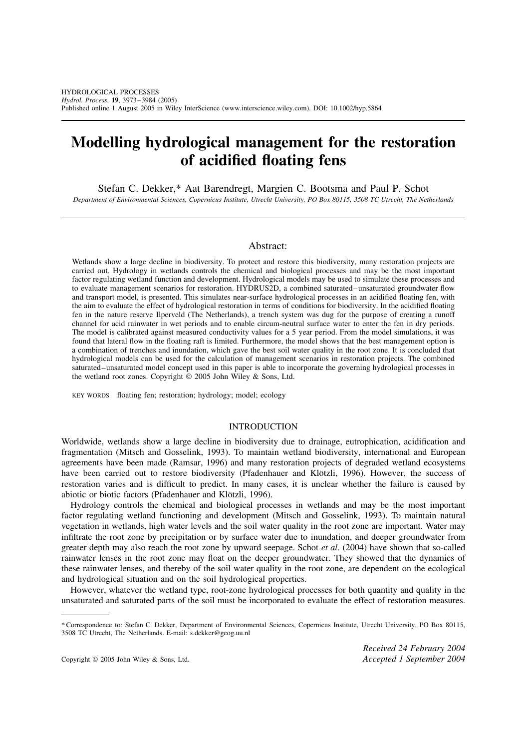# **Modelling hydrological management for the restoration of acidified floating fens**

Stefan C. Dekker,\* Aat Barendregt, Margien C. Bootsma and Paul P. Schot *Department of Environmental Sciences, Copernicus Institute, Utrecht University, PO Box 80115, 3508 TC Utrecht, The Netherlands*

## Abstract:

Wetlands show a large decline in biodiversity. To protect and restore this biodiversity, many restoration projects are carried out. Hydrology in wetlands controls the chemical and biological processes and may be the most important factor regulating wetland function and development. Hydrological models may be used to simulate these processes and to evaluate management scenarios for restoration. HYDRUS2D, a combined saturated–unsaturated groundwater flow and transport model, is presented. This simulates near-surface hydrological processes in an acidified floating fen, with the aim to evaluate the effect of hydrological restoration in terms of conditions for biodiversity. In the acidified floating fen in the nature reserve Ilperveld (The Netherlands), a trench system was dug for the purpose of creating a runoff channel for acid rainwater in wet periods and to enable circum-neutral surface water to enter the fen in dry periods. The model is calibrated against measured conductivity values for a 5 year period. From the model simulations, it was found that lateral flow in the floating raft is limited. Furthermore, the model shows that the best management option is a combination of trenches and inundation, which gave the best soil water quality in the root zone. It is concluded that hydrological models can be used for the calculation of management scenarios in restoration projects. The combined saturated–unsaturated model concept used in this paper is able to incorporate the governing hydrological processes in the wetland root zones. Copyright © 2005 John Wiley & Sons, Ltd.

KEY WORDS floating fen; restoration; hydrology; model; ecology

## INTRODUCTION

Worldwide, wetlands show a large decline in biodiversity due to drainage, eutrophication, acidification and fragmentation (Mitsch and Gosselink, 1993). To maintain wetland biodiversity, international and European agreements have been made (Ramsar, 1996) and many restoration projects of degraded wetland ecosystems have been carried out to restore biodiversity (Pfadenhauer and Klötzli, 1996). However, the success of restoration varies and is difficult to predict. In many cases, it is unclear whether the failure is caused by abiotic or biotic factors (Pfadenhauer and Klötzli, 1996).

Hydrology controls the chemical and biological processes in wetlands and may be the most important factor regulating wetland functioning and development (Mitsch and Gosselink, 1993). To maintain natural vegetation in wetlands, high water levels and the soil water quality in the root zone are important. Water may infiltrate the root zone by precipitation or by surface water due to inundation, and deeper groundwater from greater depth may also reach the root zone by upward seepage. Schot *et al*. (2004) have shown that so-called rainwater lenses in the root zone may float on the deeper groundwater. They showed that the dynamics of these rainwater lenses, and thereby of the soil water quality in the root zone, are dependent on the ecological and hydrological situation and on the soil hydrological properties.

However, whatever the wetland type, root-zone hydrological processes for both quantity and quality in the unsaturated and saturated parts of the soil must be incorporated to evaluate the effect of restoration measures.

*Received 24 February 2004* Copyright 2005 John Wiley & Sons, Ltd. *Accepted 1 September 2004*

<sup>\*</sup> Correspondence to: Stefan C. Dekker, Department of Environmental Sciences, Copernicus Institute, Utrecht University, PO Box 80115, 3508 TC Utrecht, The Netherlands. E-mail: s.dekker@geog.uu.nl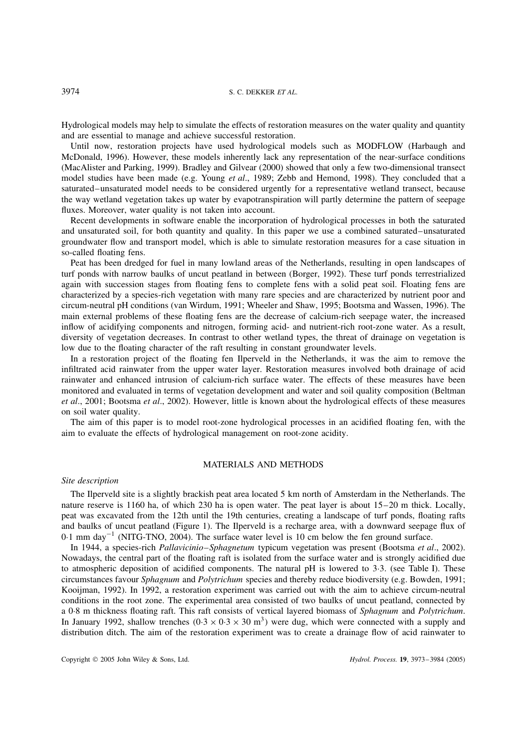Hydrological models may help to simulate the effects of restoration measures on the water quality and quantity and are essential to manage and achieve successful restoration.

Until now, restoration projects have used hydrological models such as MODFLOW (Harbaugh and McDonald, 1996). However, these models inherently lack any representation of the near-surface conditions (MacAlister and Parking, 1999). Bradley and Gilvear (2000) showed that only a few two-dimensional transect model studies have been made (e.g. Young *et al*., 1989; Zebb and Hemond, 1998). They concluded that a saturated–unsaturated model needs to be considered urgently for a representative wetland transect, because the way wetland vegetation takes up water by evapotranspiration will partly determine the pattern of seepage fluxes. Moreover, water quality is not taken into account.

Recent developments in software enable the incorporation of hydrological processes in both the saturated and unsaturated soil, for both quantity and quality. In this paper we use a combined saturated–unsaturated groundwater flow and transport model, which is able to simulate restoration measures for a case situation in so-called floating fens.

Peat has been dredged for fuel in many lowland areas of the Netherlands, resulting in open landscapes of turf ponds with narrow baulks of uncut peatland in between (Borger, 1992). These turf ponds terrestrialized again with succession stages from floating fens to complete fens with a solid peat soil. Floating fens are characterized by a species-rich vegetation with many rare species and are characterized by nutrient poor and circum-neutral pH conditions (van Wirdum, 1991; Wheeler and Shaw, 1995; Bootsma and Wassen, 1996). The main external problems of these floating fens are the decrease of calcium-rich seepage water, the increased inflow of acidifying components and nitrogen, forming acid- and nutrient-rich root-zone water. As a result, diversity of vegetation decreases. In contrast to other wetland types, the threat of drainage on vegetation is low due to the floating character of the raft resulting in constant groundwater levels.

In a restoration project of the floating fen Ilperveld in the Netherlands, it was the aim to remove the infiltrated acid rainwater from the upper water layer. Restoration measures involved both drainage of acid rainwater and enhanced intrusion of calcium-rich surface water. The effects of these measures have been monitored and evaluated in terms of vegetation development and water and soil quality composition (Beltman *et al*., 2001; Bootsma *et al*., 2002). However, little is known about the hydrological effects of these measures on soil water quality.

The aim of this paper is to model root-zone hydrological processes in an acidified floating fen, with the aim to evaluate the effects of hydrological management on root-zone acidity.

## MATERIALS AND METHODS

## *Site description*

The Ilperveld site is a slightly brackish peat area located 5 km north of Amsterdam in the Netherlands. The nature reserve is 1160 ha, of which 230 ha is open water. The peat layer is about 15–20 m thick. Locally, peat was excavated from the 12th until the 19th centuries, creating a landscape of turf ponds, floating rafts and baulks of uncut peatland (Figure 1). The Ilperveld is a recharge area, with a downward seepage flux of  $0.1$  mm day<sup>-1</sup> (NITG-TNO, 2004). The surface water level is 10 cm below the fen ground surface.

In 1944, a species-rich *Pallavicinio–Sphagnetum* typicum vegetation was present (Bootsma *et al*., 2002). Nowadays, the central part of the floating raft is isolated from the surface water and is strongly acidified due to atmospheric deposition of acidified components. The natural pH is lowered to 3.3. (see Table I). These circumstances favour *Sphagnum* and *Polytrichum* species and thereby reduce biodiversity (e.g. Bowden, 1991; Kooijman, 1992). In 1992, a restoration experiment was carried out with the aim to achieve circum-neutral conditions in the root zone. The experimental area consisted of two baulks of uncut peatland, connected by a 0Ð8 m thickness floating raft. This raft consists of vertical layered biomass of *Sphagnum* and *Polytrichum*. In January 1992, shallow trenches  $(0.3 \times 0.3 \times 30 \text{ m}^3)$  were dug, which were connected with a supply and distribution ditch. The aim of the restoration experiment was to create a drainage flow of acid rainwater to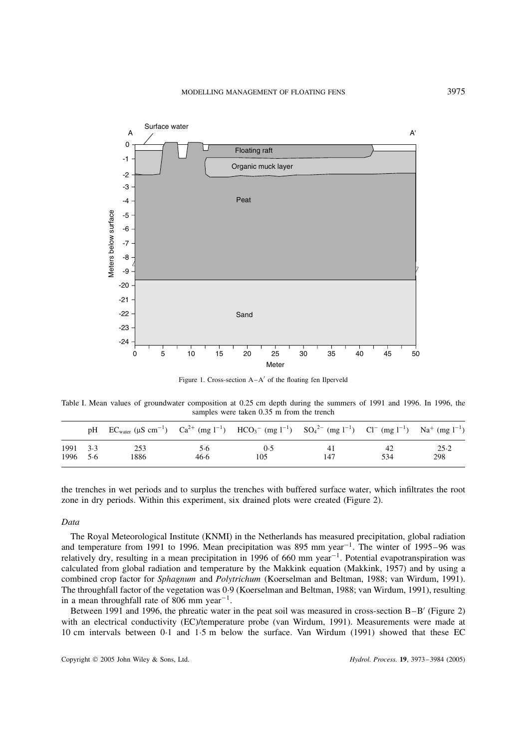

Figure 1. Cross-section  $A - A'$  of the floating fen Ilperveld

Table I. Mean values of groundwater composition at 0.25 cm depth during the summers of 1991 and 1996. In 1996, the samples were taken 0.35 m from the trench

|      | pH  | $EC_{\text{water}}(\mu S \text{ cm}^{-1})$ $Ca^{2+}$ (mg 1 <sup>-1</sup> ) $HCO_3^-$ (mg 1 <sup>-1</sup> ) $SO_4^{2-}$ (mg 1 <sup>-1</sup> ) $Cl^{-}$ (mg 1 <sup>-1</sup> ) $Na^{+}$ (mg 1 <sup>-1</sup> ) |      |     |     |     |      |
|------|-----|------------------------------------------------------------------------------------------------------------------------------------------------------------------------------------------------------------|------|-----|-----|-----|------|
| 1991 | 3.3 | 253                                                                                                                                                                                                        | 5.6  | 0.5 | 147 | 42  | 25.2 |
| 1996 | 5.6 | 1886                                                                                                                                                                                                       | 46.6 | 105 |     | 534 | 298  |

the trenches in wet periods and to surplus the trenches with buffered surface water, which infiltrates the root zone in dry periods. Within this experiment, six drained plots were created (Figure 2).

# *Data*

The Royal Meteorological Institute (KNMI) in the Netherlands has measured precipitation, global radiation and temperature from 1991 to 1996. Mean precipitation was  $895 \text{ mm} \text{ year}^{-1}$ . The winter of 1995–96 was relatively dry, resulting in a mean precipitation in 1996 of 660 mm year<sup>-1</sup>. Potential evapotranspiration was calculated from global radiation and temperature by the Makkink equation (Makkink, 1957) and by using a combined crop factor for *Sphagnum* and *Polytrichum* (Koerselman and Beltman, 1988; van Wirdum, 1991). The throughfall factor of the vegetation was 0Ð9 (Koerselman and Beltman, 1988; van Wirdum, 1991), resulting in a mean throughfall rate of 806 mm year<sup>-1</sup>.

Between 1991 and 1996, the phreatic water in the peat soil was measured in cross-section  $B - B'$  (Figure 2) with an electrical conductivity (EC)/temperature probe (van Wirdum, 1991). Measurements were made at 10 cm intervals between 0Ð1 and 1Ð5 m below the surface. Van Wirdum (1991) showed that these EC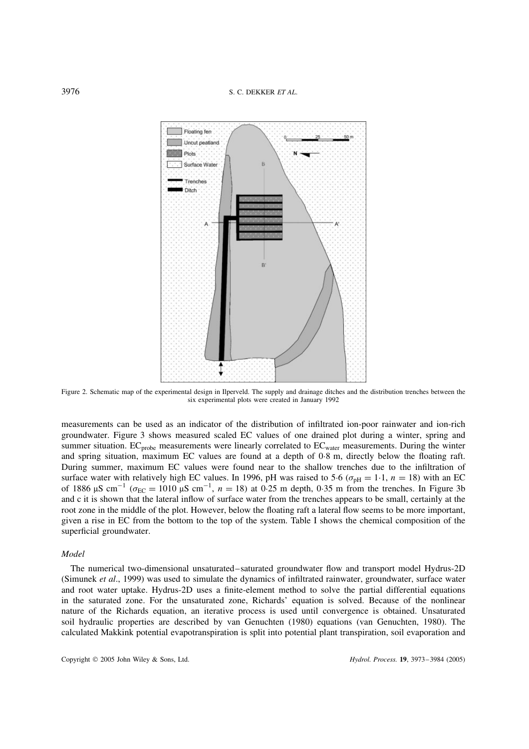## 3976 S. C. DEKKER *ET AL*.



Figure 2. Schematic map of the experimental design in Ilperveld. The supply and drainage ditches and the distribution trenches between the six experimental plots were created in January 1992

measurements can be used as an indicator of the distribution of infiltrated ion-poor rainwater and ion-rich groundwater. Figure 3 shows measured scaled EC values of one drained plot during a winter, spring and summer situation. EC<sub>probe</sub> measurements were linearly correlated to EC<sub>water</sub> measurements. During the winter and spring situation, maximum EC values are found at a depth of 0Ð8 m, directly below the floating raft. During summer, maximum EC values were found near to the shallow trenches due to the infiltration of surface water with relatively high EC values. In 1996, pH was raised to 5.6 ( $\sigma_{\text{pH}} = 1.1$ ,  $n = 18$ ) with an EC of 1886  $\mu$ S cm<sup>-1</sup> ( $\sigma_{EC} = 1010 \mu$ S cm<sup>-1</sup>,  $n = 18$ ) at 0.25 m depth, 0.35 m from the trenches. In Figure 3b and c it is shown that the lateral inflow of surface water from the trenches appears to be small, certainly at the root zone in the middle of the plot. However, below the floating raft a lateral flow seems to be more important, given a rise in EC from the bottom to the top of the system. Table I shows the chemical composition of the superficial groundwater.

## *Model*

The numerical two-dimensional unsaturated–saturated groundwater flow and transport model Hydrus-2D (Simunek *et al*., 1999) was used to simulate the dynamics of infiltrated rainwater, groundwater, surface water and root water uptake. Hydrus-2D uses a finite-element method to solve the partial differential equations in the saturated zone. For the unsaturated zone, Richards' equation is solved. Because of the nonlinear nature of the Richards equation, an iterative process is used until convergence is obtained. Unsaturated soil hydraulic properties are described by van Genuchten (1980) equations (van Genuchten, 1980). The calculated Makkink potential evapotranspiration is split into potential plant transpiration, soil evaporation and

Copyright 2005 John Wiley & Sons, Ltd. *Hydrol. Process.* **19**, 3973–3984 (2005)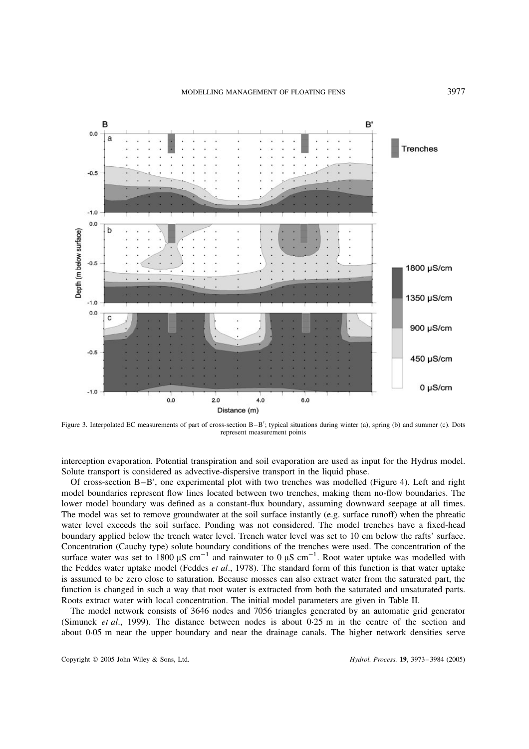

Figure 3. Interpolated EC measurements of part of cross-section B-B'; typical situations during winter (a), spring (b) and summer (c). Dots represent measurement points

interception evaporation. Potential transpiration and soil evaporation are used as input for the Hydrus model. Solute transport is considered as advective-dispersive transport in the liquid phase.

Of cross-section B-B', one experimental plot with two trenches was modelled (Figure 4). Left and right model boundaries represent flow lines located between two trenches, making them no-flow boundaries. The lower model boundary was defined as a constant-flux boundary, assuming downward seepage at all times. The model was set to remove groundwater at the soil surface instantly (e.g. surface runoff) when the phreatic water level exceeds the soil surface. Ponding was not considered. The model trenches have a fixed-head boundary applied below the trench water level. Trench water level was set to 10 cm below the rafts' surface. Concentration (Cauchy type) solute boundary conditions of the trenches were used. The concentration of the surface water was set to 1800  $\mu$ S cm<sup>-1</sup> and rainwater to 0  $\mu$ S cm<sup>-1</sup>. Root water uptake was modelled with the Feddes water uptake model (Feddes *et al*., 1978). The standard form of this function is that water uptake is assumed to be zero close to saturation. Because mosses can also extract water from the saturated part, the function is changed in such a way that root water is extracted from both the saturated and unsaturated parts. Roots extract water with local concentration. The initial model parameters are given in Table II.

The model network consists of 3646 nodes and 7056 triangles generated by an automatic grid generator (Simunek *et al.*, 1999). The distance between nodes is about 0.25 m in the centre of the section and about 0.05 m near the upper boundary and near the drainage canals. The higher network densities serve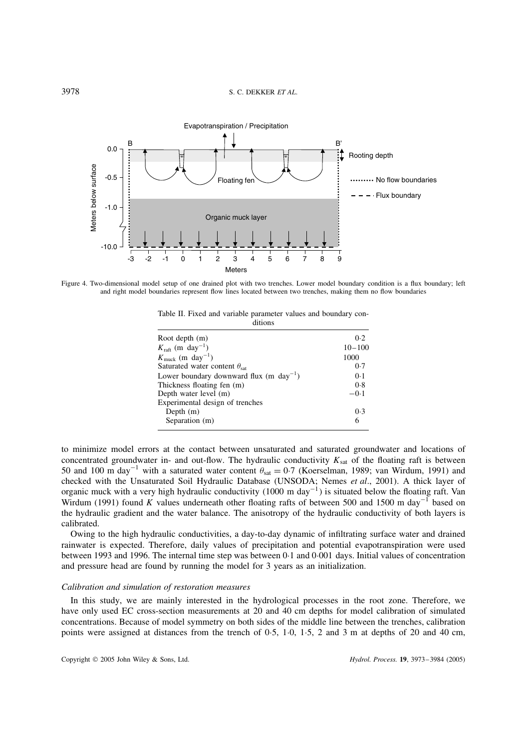

Figure 4. Two-dimensional model setup of one drained plot with two trenches. Lower model boundary condition is a flux boundary; left and right model boundaries represent flow lines located between two trenches, making them no flow boundaries

| Root depth (m)                                      | 0.2        |
|-----------------------------------------------------|------------|
| $K_{\text{raft}}$ (m day <sup>-1</sup> )            | $10 - 100$ |
| $K_{\text{muck}}$ (m day <sup>-1</sup> )            | 1000       |
| Saturated water content $\theta_{\text{sat}}$       | 0.7        |
| Lower boundary downward flux (m day <sup>-1</sup> ) | 0.1        |
| Thickness floating fen (m)                          | 0.8        |
| Depth water level (m)                               | $-0.1$     |
| Experimental design of trenches                     |            |
| Depth $(m)$                                         | 0.3        |
| Separation (m)                                      | 6          |
|                                                     |            |

Table II. Fixed and variable parameter values and boundary conditions

to minimize model errors at the contact between unsaturated and saturated groundwater and locations of concentrated groundwater in- and out-flow. The hydraulic conductivity  $K_{\text{sat}}$  of the floating raft is between 50 and 100 m day<sup>-1</sup> with a saturated water content  $\theta_{\text{sat}} = 0.7$  (Koerselman, 1989; van Wirdum, 1991) and checked with the Unsaturated Soil Hydraulic Database (UNSODA; Nemes *et al*., 2001). A thick layer of organic muck with a very high hydraulic conductivity  $(1000 \text{ m day}^{-1})$  is situated below the floating raft. Van Wirdum (1991) found K values underneath other floating rafts of between 500 and 1500 m day<sup>-1</sup> based on the hydraulic gradient and the water balance. The anisotropy of the hydraulic conductivity of both layers is calibrated.

Owing to the high hydraulic conductivities, a day-to-day dynamic of infiltrating surface water and drained rainwater is expected. Therefore, daily values of precipitation and potential evapotranspiration were used between 1993 and 1996. The internal time step was between 0 $\cdot$ 1 and 0 $\cdot$ 001 days. Initial values of concentration and pressure head are found by running the model for 3 years as an initialization.

## *Calibration and simulation of restoration measures*

In this study, we are mainly interested in the hydrological processes in the root zone. Therefore, we have only used EC cross-section measurements at 20 and 40 cm depths for model calibration of simulated concentrations. Because of model symmetry on both sides of the middle line between the trenches, calibration points were assigned at distances from the trench of  $0.5$ ,  $1.0$ ,  $1.5$ ,  $2$  and  $3$  m at depths of  $20$  and  $40$  cm,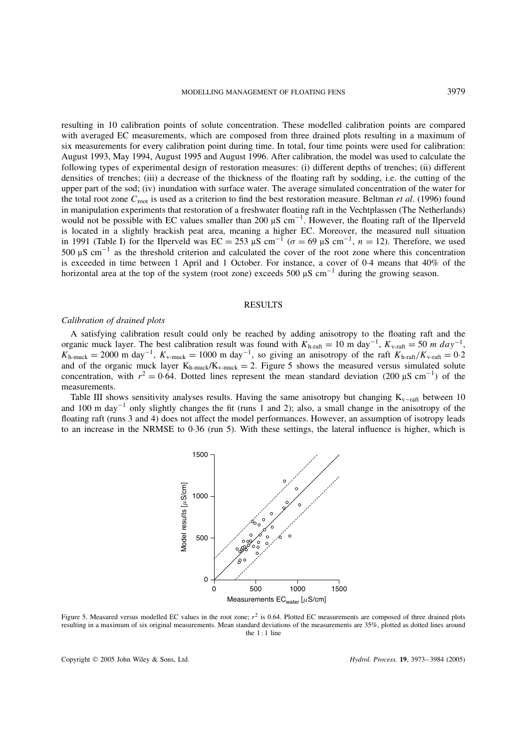resulting in 10 calibration points of solute concentration. These modelled calibration points are compared with averaged EC measurements, which are composed from three drained plots resulting in a maximum of six measurements for every calibration point during time. In total, four time points were used for calibration: August 1993, May 1994, August 1995 and August 1996. After calibration, the model was used to calculate the following types of experimental design of restoration measures: (i) different depths of trenches; (ii) different densities of trenches; (iii) a decrease of the thickness of the floating raft by sodding, i.e. the cutting of the upper part of the sod; (iv) inundation with surface water. The average simulated concentration of the water for the total root zone Croot is used as a criterion to find the best restoration measure. Beltman *et al*. (1996) found in manipulation experiments that restoration of a freshwater floating raft in the Vechtplassen (The Netherlands) would not be possible with EC values smaller than 200  $\mu$ S cm<sup>-1</sup>. However, the floating raft of the Ilperveld is located in a slightly brackish peat area, meaning a higher EC. Moreover, the measured null situation in 1991 (Table I) for the Ilperveld was  $EC = 253 \mu S \text{ cm}^{-1}$  ( $\sigma = 69 \mu S \text{ cm}^{-1}$ ,  $n = 12$ ). Therefore, we used 500  $\mu$ S cm<sup>-1</sup> as the threshold criterion and calculated the cover of the root zone where this concentration is exceeded in time between 1 April and 1 October. For instance, a cover of 0.4 means that 40% of the horizontal area at the top of the system (root zone) exceeds 500  $\mu$ S cm<sup>-1</sup> during the growing season.

#### RESULTS

## *Calibration of drained plots*

A satisfying calibration result could only be reached by adding anisotropy to the floating raft and the organic muck layer. The best calibration result was found with  $K_{\text{h-raft}} = 10 \text{ m day}^{-1}$ ,  $K_{\text{v-raft}} = 50 \text{ m day}^{-1}$ ,  $K_{\text{h-muck}} = 2000 \text{ m day}^{-1}$ ,  $K_{\text{v-muck}} = 1000 \text{ m day}^{-1}$ , so giving an anisotropy of the raft  $K_{\text{h-raff}}/K_{\text{v-raff}} = 0.2$ and of the organic muck layer  $K_{h-muck}/K_{v-muck} = 2$ . Figure 5 shows the measured versus simulated solute concentration, with  $r^2 = 0.64$ . Dotted lines represent the mean standard deviation (200  $\mu$ S cm<sup>-1</sup>) of the measurements.

Table III shows sensitivity analyses results. Having the same anisotropy but changing  $K_{v-raf}$  between 10 and 100 m day<sup>-1</sup> only slightly changes the fit (runs 1 and 2); also, a small change in the anisotropy of the floating raft (runs 3 and 4) does not affect the model performances. However, an assumption of isotropy leads to an increase in the NRMSE to 0.36 (run 5). With these settings, the lateral influence is higher, which is



Figure 5. Measured versus modelled EC values in the root zone;  $r^2$  is 0.64. Plotted EC measurements are composed of three drained plots resulting in a maximum of six original measurements. Mean standard deviations of the measurements are 35%, plotted as dotted lines around the 1 : 1 line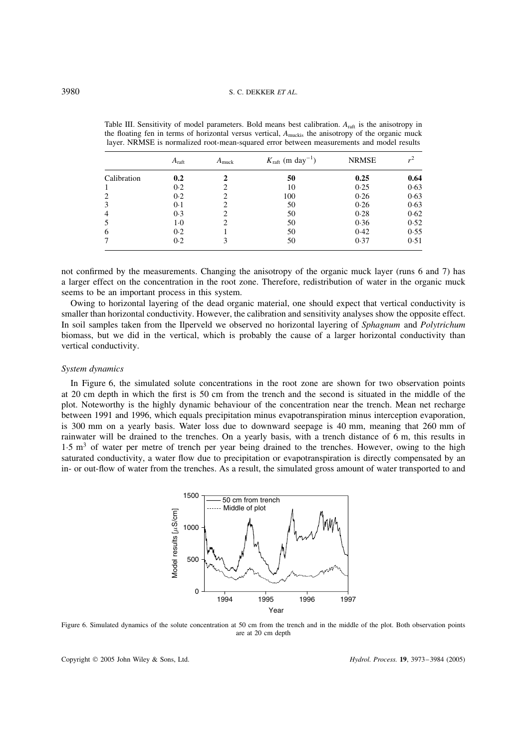|                | $A_{\text{raft}}$ | $A_{\rm muck}$              | $K_{\text{raft}}$ (m day <sup>-1</sup> ) | <b>NRMSE</b> |      |
|----------------|-------------------|-----------------------------|------------------------------------------|--------------|------|
| Calibration    | 0.2               |                             | 50                                       | 0.25         | 0.64 |
| 1              | 0.2               | 2                           | 10                                       | 0.25         | 0.63 |
| 2              | 0.2               | 2                           | 100                                      | 0.26         | 0.63 |
| 3              | 0.1               |                             | 50                                       | 0.26         | 0.63 |
| $\overline{4}$ | 0.3               | $\mathcal{D}_{\mathcal{L}}$ | 50                                       | 0.28         | 0.62 |
| 5              | $1-0$             |                             | 50                                       | 0.36         | 0.52 |
| 6              | 0.2               |                             | 50                                       | 0.42         | 0.55 |
| 7              | 0.2               | 3                           | 50                                       | 0.37         | 0.51 |

Table III. Sensitivity of model parameters. Bold means best calibration.  $A_{\text{raft}}$  is the anisotropy in the floating fen in terms of horizontal versus vertical,  $A_{\text{muckis}}$  the anisotropy of the organic muck layer. NRMSE is normalized root-mean-squared error between measurements and model results

not confirmed by the measurements. Changing the anisotropy of the organic muck layer (runs 6 and 7) has a larger effect on the concentration in the root zone. Therefore, redistribution of water in the organic muck seems to be an important process in this system.

Owing to horizontal layering of the dead organic material, one should expect that vertical conductivity is smaller than horizontal conductivity. However, the calibration and sensitivity analyses show the opposite effect. In soil samples taken from the Ilperveld we observed no horizontal layering of *Sphagnum* and *Polytrichum* biomass, but we did in the vertical, which is probably the cause of a larger horizontal conductivity than vertical conductivity.

### *System dynamics*

In Figure 6, the simulated solute concentrations in the root zone are shown for two observation points at 20 cm depth in which the first is 50 cm from the trench and the second is situated in the middle of the plot. Noteworthy is the highly dynamic behaviour of the concentration near the trench. Mean net recharge between 1991 and 1996, which equals precipitation minus evapotranspiration minus interception evaporation, is 300 mm on a yearly basis. Water loss due to downward seepage is 40 mm, meaning that 260 mm of rainwater will be drained to the trenches. On a yearly basis, with a trench distance of 6 m, this results in  $1.5$  m<sup>3</sup> of water per metre of trench per year being drained to the trenches. However, owing to the high saturated conductivity, a water flow due to precipitation or evapotranspiration is directly compensated by an in- or out-flow of water from the trenches. As a result, the simulated gross amount of water transported to and



Figure 6. Simulated dynamics of the solute concentration at 50 cm from the trench and in the middle of the plot. Both observation points are at 20 cm depth

Copyright 2005 John Wiley & Sons, Ltd. *Hydrol. Process.* **19**, 3973–3984 (2005)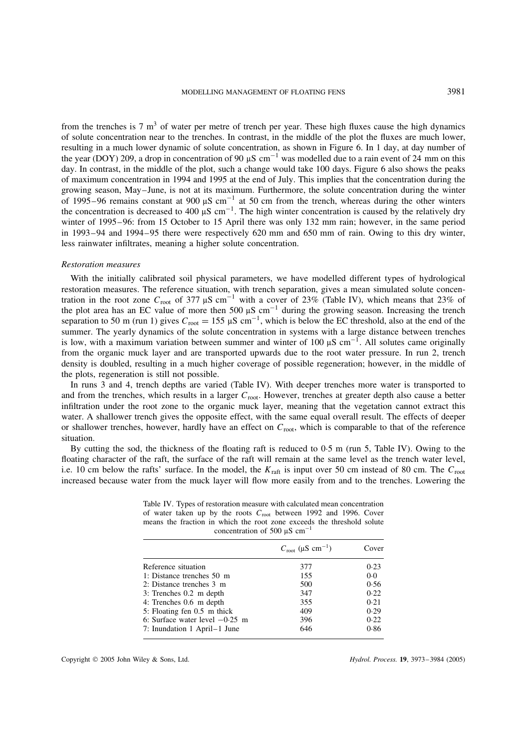from the trenches is  $7 \text{ m}^3$  of water per metre of trench per year. These high fluxes cause the high dynamics of solute concentration near to the trenches. In contrast, in the middle of the plot the fluxes are much lower, resulting in a much lower dynamic of solute concentration, as shown in Figure 6. In 1 day, at day number of the year (DOY) 209, a drop in concentration of 90  $\mu$ S cm<sup>-1</sup> was modelled due to a rain event of 24 mm on this day. In contrast, in the middle of the plot, such a change would take 100 days. Figure 6 also shows the peaks of maximum concentration in 1994 and 1995 at the end of July. This implies that the concentration during the growing season, May–June, is not at its maximum. Furthermore, the solute concentration during the winter of 1995–96 remains constant at 900  $\mu$ S cm<sup>-1</sup> at 50 cm from the trench, whereas during the other winters the concentration is decreased to 400  $\mu$ S cm<sup>-1</sup>. The high winter concentration is caused by the relatively dry winter of 1995–96: from 15 October to 15 April there was only 132 mm rain; however, in the same period in 1993–94 and 1994–95 there were respectively 620 mm and 650 mm of rain. Owing to this dry winter,

#### *Restoration measures*

less rainwater infiltrates, meaning a higher solute concentration.

With the initially calibrated soil physical parameters, we have modelled different types of hydrological restoration measures. The reference situation, with trench separation, gives a mean simulated solute concentration in the root zone C<sub>root</sub> of 377  $\mu$ S cm<sup>-1</sup> with a cover of 23% (Table IV), which means that 23% of the plot area has an EC value of more then 500  $\mu$ S cm<sup>-1</sup> during the growing season. Increasing the trench separation to 50 m (run 1) gives  $C_{\text{root}} = 155 \mu S \text{ cm}^{-1}$ , which is below the EC threshold, also at the end of the summer. The yearly dynamics of the solute concentration in systems with a large distance between trenches is low, with a maximum variation between summer and winter of 100  $\mu$ S cm<sup>-1</sup>. All solutes came originally from the organic muck layer and are transported upwards due to the root water pressure. In run 2, trench density is doubled, resulting in a much higher coverage of possible regeneration; however, in the middle of the plots, regeneration is still not possible.

In runs 3 and 4, trench depths are varied (Table IV). With deeper trenches more water is transported to and from the trenches, which results in a larger  $C_{\text{root}}$ . However, trenches at greater depth also cause a better infiltration under the root zone to the organic muck layer, meaning that the vegetation cannot extract this water. A shallower trench gives the opposite effect, with the same equal overall result. The effects of deeper or shallower trenches, however, hardly have an effect on  $C_{\text{root}}$ , which is comparable to that of the reference situation.

By cutting the sod, the thickness of the floating raft is reduced to 0.5 m (run 5, Table IV). Owing to the floating character of the raft, the surface of the raft will remain at the same level as the trench water level, i.e. 10 cm below the rafts' surface. In the model, the  $K_{\text{raft}}$  is input over 50 cm instead of 80 cm. The  $C_{\text{root}}$ increased because water from the muck layer will flow more easily from and to the trenches. Lowering the

| Table IV. Types of restoration measure with calculated mean concentration                                               |  |  |  |  |  |
|-------------------------------------------------------------------------------------------------------------------------|--|--|--|--|--|
| of water taken up by the roots $C_{\text{root}}$ between 1992 and 1996. Cover                                           |  |  |  |  |  |
| means the fraction in which the root zone exceeds the threshold solute<br>concentration of 500 $\mu$ S cm <sup>-1</sup> |  |  |  |  |  |

|                                  | $C_{\text{root}}$ ( $\mu$ S cm <sup>-1</sup> ) | Cover |
|----------------------------------|------------------------------------------------|-------|
| Reference situation              | 377                                            | 0.23  |
| 1: Distance trenches 50 m        | 155                                            | 0.0   |
| 2: Distance trenches 3 m         | 500                                            | 0.56  |
| $3:$ Trenches 0.2 m depth        | 347                                            | 0.22  |
| 4: Trenches 0.6 m depth          | 355                                            | 0.21  |
| 5: Floating fen 0.5 m thick      | 409                                            | 0.29  |
| 6: Surface water level $-0.25$ m | 396                                            | 0.22  |
| 7: Inundation 1 April–1 June     | 646                                            | 0.86  |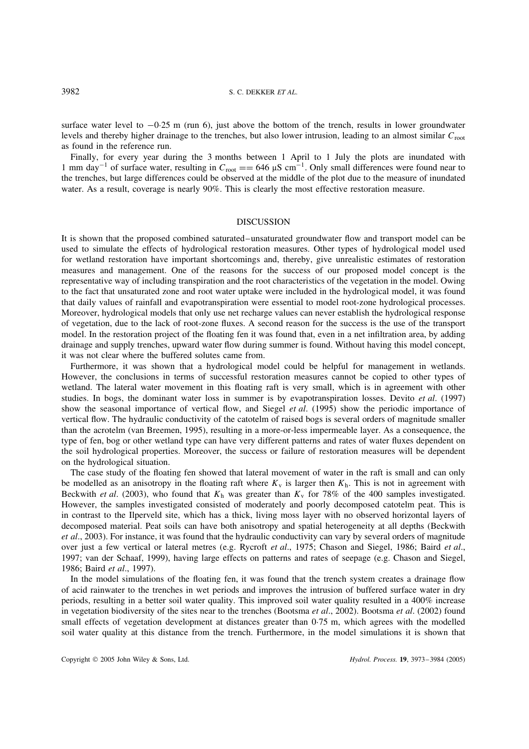surface water level to  $-0.25$  m (run 6), just above the bottom of the trench, results in lower groundwater levels and thereby higher drainage to the trenches, but also lower intrusion, leading to an almost similar  $C_{\text{root}}$ as found in the reference run.

Finally, for every year during the 3 months between 1 April to 1 July the plots are inundated with 1 mm day<sup>-1</sup> of surface water, resulting in  $C_{\text{root}} = 646 \mu S \text{ cm}^{-1}$ . Only small differences were found near to the trenches, but large differences could be observed at the middle of the plot due to the measure of inundated water. As a result, coverage is nearly 90%. This is clearly the most effective restoration measure.

## DISCUSSION

It is shown that the proposed combined saturated–unsaturated groundwater flow and transport model can be used to simulate the effects of hydrological restoration measures. Other types of hydrological model used for wetland restoration have important shortcomings and, thereby, give unrealistic estimates of restoration measures and management. One of the reasons for the success of our proposed model concept is the representative way of including transpiration and the root characteristics of the vegetation in the model. Owing to the fact that unsaturated zone and root water uptake were included in the hydrological model, it was found that daily values of rainfall and evapotranspiration were essential to model root-zone hydrological processes. Moreover, hydrological models that only use net recharge values can never establish the hydrological response of vegetation, due to the lack of root-zone fluxes. A second reason for the success is the use of the transport model. In the restoration project of the floating fen it was found that, even in a net infiltration area, by adding drainage and supply trenches, upward water flow during summer is found. Without having this model concept, it was not clear where the buffered solutes came from.

Furthermore, it was shown that a hydrological model could be helpful for management in wetlands. However, the conclusions in terms of successful restoration measures cannot be copied to other types of wetland. The lateral water movement in this floating raft is very small, which is in agreement with other studies. In bogs, the dominant water loss in summer is by evapotranspiration losses. Devito *et al*. (1997) show the seasonal importance of vertical flow, and Siegel *et al*. (1995) show the periodic importance of vertical flow. The hydraulic conductivity of the catotelm of raised bogs is several orders of magnitude smaller than the acrotelm (van Breemen, 1995), resulting in a more-or-less impermeable layer. As a consequence, the type of fen, bog or other wetland type can have very different patterns and rates of water fluxes dependent on the soil hydrological properties. Moreover, the success or failure of restoration measures will be dependent on the hydrological situation.

The case study of the floating fen showed that lateral movement of water in the raft is small and can only be modelled as an anisotropy in the floating raft where  $K_v$  is larger then  $K_h$ . This is not in agreement with Beckwith *et al.* (2003), who found that  $K<sub>h</sub>$  was greater than  $K<sub>v</sub>$  for 78% of the 400 samples investigated. However, the samples investigated consisted of moderately and poorly decomposed catotelm peat. This is in contrast to the Ilperveld site, which has a thick, living moss layer with no observed horizontal layers of decomposed material. Peat soils can have both anisotropy and spatial heterogeneity at all depths (Beckwith *et al*., 2003). For instance, it was found that the hydraulic conductivity can vary by several orders of magnitude over just a few vertical or lateral metres (e.g. Rycroft *et al*., 1975; Chason and Siegel, 1986; Baird *et al*., 1997; van der Schaaf, 1999), having large effects on patterns and rates of seepage (e.g. Chason and Siegel, 1986; Baird *et al*., 1997).

In the model simulations of the floating fen, it was found that the trench system creates a drainage flow of acid rainwater to the trenches in wet periods and improves the intrusion of buffered surface water in dry periods, resulting in a better soil water quality. This improved soil water quality resulted in a 400% increase in vegetation biodiversity of the sites near to the trenches (Bootsma *et al*., 2002). Bootsma *et al*. (2002) found small effects of vegetation development at distances greater than 0.75 m, which agrees with the modelled soil water quality at this distance from the trench. Furthermore, in the model simulations it is shown that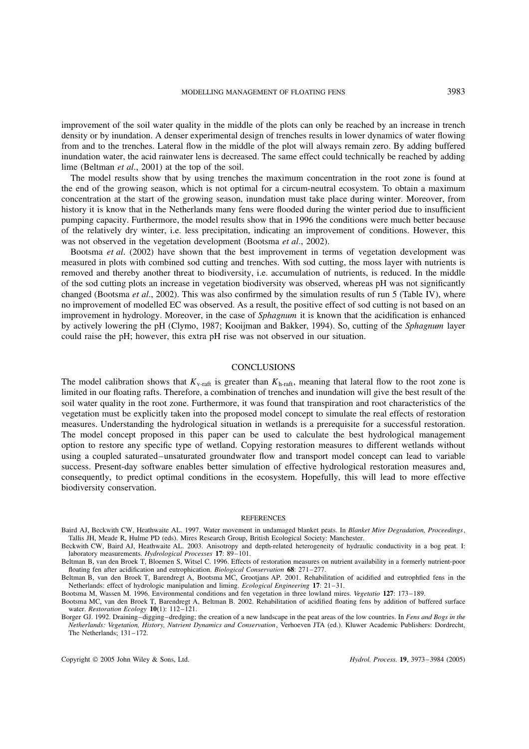improvement of the soil water quality in the middle of the plots can only be reached by an increase in trench density or by inundation. A denser experimental design of trenches results in lower dynamics of water flowing from and to the trenches. Lateral flow in the middle of the plot will always remain zero. By adding buffered inundation water, the acid rainwater lens is decreased. The same effect could technically be reached by adding lime (Beltman *et al*., 2001) at the top of the soil.

The model results show that by using trenches the maximum concentration in the root zone is found at the end of the growing season, which is not optimal for a circum-neutral ecosystem. To obtain a maximum concentration at the start of the growing season, inundation must take place during winter. Moreover, from history it is know that in the Netherlands many fens were flooded during the winter period due to insufficient pumping capacity. Furthermore, the model results show that in 1996 the conditions were much better because of the relatively dry winter, i.e. less precipitation, indicating an improvement of conditions. However, this was not observed in the vegetation development (Bootsma *et al*., 2002).

Bootsma *et al*. (2002) have shown that the best improvement in terms of vegetation development was measured in plots with combined sod cutting and trenches. With sod cutting, the moss layer with nutrients is removed and thereby another threat to biodiversity, i.e. accumulation of nutrients, is reduced. In the middle of the sod cutting plots an increase in vegetation biodiversity was observed, whereas pH was not significantly changed (Bootsma *et al*., 2002). This was also confirmed by the simulation results of run 5 (Table IV), where no improvement of modelled EC was observed. As a result, the positive effect of sod cutting is not based on an improvement in hydrology. Moreover, in the case of *Sphagnum* it is known that the acidification is enhanced by actively lowering the pH (Clymo, 1987; Kooijman and Bakker, 1994). So, cutting of the *Sphagnum* layer could raise the pH; however, this extra pH rise was not observed in our situation.

## **CONCLUSIONS**

The model calibration shows that  $K_{v\text{-raft}}$  is greater than  $K_{h\text{-raft}}$ , meaning that lateral flow to the root zone is limited in our floating rafts. Therefore, a combination of trenches and inundation will give the best result of the soil water quality in the root zone. Furthermore, it was found that transpiration and root characteristics of the vegetation must be explicitly taken into the proposed model concept to simulate the real effects of restoration measures. Understanding the hydrological situation in wetlands is a prerequisite for a successful restoration. The model concept proposed in this paper can be used to calculate the best hydrological management option to restore any specific type of wetland. Copying restoration measures to different wetlands without using a coupled saturated–unsaturated groundwater flow and transport model concept can lead to variable success. Present-day software enables better simulation of effective hydrological restoration measures and, consequently, to predict optimal conditions in the ecosystem. Hopefully, this will lead to more effective biodiversity conservation.

#### **REFERENCES**

- Baird AJ, Beckwith CW, Heathwaite AL. 1997. Water movement in undamaged blanket peats. In *Blanket Mire Degradation, Proceedings*, Tallis JH, Meade R, Hulme PD (eds). Mires Research Group, British Ecological Society: Manchester.
- Beckwith CW, Baird AJ, Heathwaite AL. 2003. Anisotropy and depth-related heterogeneity of hydraulic conductivity in a bog peat. I: laboratory measurements. *Hydrological Processes* **17**: 89–101.

Beltman B, van den Broek T, Bloemen S, Witsel C. 1996. Effects of restoration measures on nutrient availability in a formerly nutrient-poor floating fen after acidification and eutrophication. *Biological Conservation* **68**: 271–277.

Beltman B, van den Broek T, Barendregt A, Bootsma MC, Grootjans AP. 2001. Rehabilitation of acidified and eutrophfied fens in the Netherlands: effect of hydrologic manipulation and liming. *Ecological Engineering* **17**: 21–31.

Bootsma M, Wassen M. 1996. Environmental conditions and fen vegetation in three lowland mires. *Vegetatio* **127**: 173–189.

Bootsma MC, van den Broek T, Barendregt A, Beltman B. 2002. Rehabilitation of acidified floating fens by addition of buffered surface water. *Restoration Ecology* **10**(1): 112–121.

Borger GJ. 1992. Draining–digging–dredging; the creation of a new landscape in the peat areas of the low countries. In *Fens and Bogs in the Netherlands: Vegetation, History, Nutrient Dynamics and Conservation*, Verhoeven JTA (ed.). Kluwer Academic Publishers: Dordrecht, The Netherlands; 131–172.